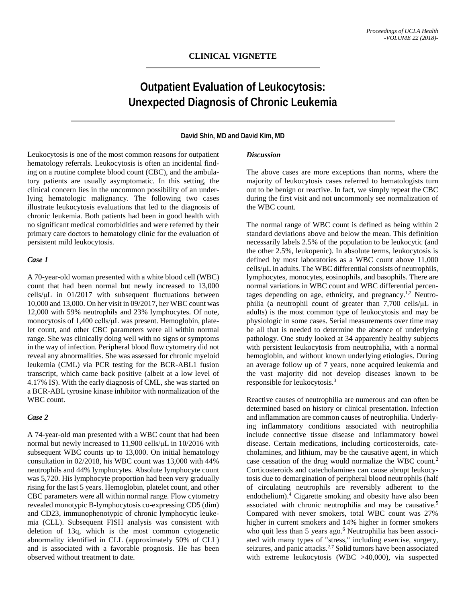# **Outpatient Evaluation of Leukocytosis: Unexpected Diagnosis of Chronic Leukemia**

## **David Shin, MD and David Kim, MD**

Leukocytosis is one of the most common reasons for outpatient hematology referrals. Leukocytosis is often an incidental finding on a routine complete blood count (CBC), and the ambulatory patients are usually asymptomatic. In this setting, the clinical concern lies in the uncommon possibility of an underlying hematologic malignancy. The following two cases illustrate leukocytosis evaluations that led to the diagnosis of chronic leukemia. Both patients had been in good health with no significant medical comorbidities and were referred by their primary care doctors to hematology clinic for the evaluation of persistent mild leukocytosis.

#### *Case 1*

A 70-year-old woman presented with a white blood cell (WBC) count that had been normal but newly increased to 13,000 cells/μL in 01/2017 with subsequent fluctuations between 10,000 and 13,000. On her visit in 09/2017, her WBC count was 12,000 with 59% neutrophils and 23% lymphocytes. Of note, monocytosis of 1,400 cells/μL was present. Hemoglobin, platelet count, and other CBC parameters were all within normal range. She was clinically doing well with no signs or symptoms in the way of infection. Peripheral blood flow cytometry did not reveal any abnormalities. She was assessed for chronic myeloid leukemia (CML) via PCR testing for the BCR-ABL1 fusion transcript, which came back positive (albeit at a low level of 4.17% IS). With the early diagnosis of CML, she was started on a BCR-ABL tyrosine kinase inhibitor with normalization of the WBC count.

#### *Case 2*

A 74-year-old man presented with a WBC count that had been normal but newly increased to 11,900 cells/μL in 10/2016 with subsequent WBC counts up to 13,000. On initial hematology consultation in 02/2018, his WBC count was 13,000 with 44% neutrophils and 44% lymphocytes. Absolute lymphocyte count was 5,720. His lymphocyte proportion had been very gradually rising for the last 5 years. Hemoglobin, platelet count, and other CBC parameters were all within normal range. Flow cytometry revealed monotypic B-lymphocytosis co-expressing CD5 (dim) and CD23, immunophenotypic of chronic lymphocytic leukemia (CLL). Subsequent FISH analysis was consistent with deletion of 13q, which is the most common cytogenetic abnormality identified in CLL (approximately 50% of CLL) and is associated with a favorable prognosis. He has been observed without treatment to date.

# *Discussion*

The above cases are more exceptions than norms, where the majority of leukocytosis cases referred to hematologists turn out to be benign or reactive. In fact, we simply repeat the CBC during the first visit and not uncommonly see normalization of the WBC count.

The normal range of WBC count is defined as being within 2 standard deviations above and below the mean. This definition necessarily labels 2.5% of the population to be leukocytic (and the other 2.5%, leukopenic). In absolute terms, leukocytosis is defined by most laboratories as a WBC count above 11,000 cells/μL in adults. The WBC differential consists of neutrophils, lymphocytes, monocytes, eosinophils, and basophils. There are normal variations in WBC count and WBC differential percentages depending on age, ethnicity, and pregnancy.<sup>1,2</sup> Neutrophilia (a neutrophil count of greater than 7,700 cells/μL in adults) is the most common type of leukocytosis and may be physiologic in some cases. Serial measurements over time may be all that is needed to determine the absence of underlying pathology. One study looked at 34 apparently healthy subjects with persistent leukocytosis from neutrophilia, with a normal hemoglobin, and without known underlying etiologies. During an average follow up of 7 years, none acquired leukemia and the vast majority did not develop diseases known to be responsible for leukocytosis. 3

Reactive causes of neutrophilia are numerous and can often be determined based on history or clinical presentation. Infection and inflammation are common causes of neutrophilia. Underlying inflammatory conditions associated with neutrophilia include connective tissue disease and inflammatory bowel disease. Certain medications, including corticosteroids, catecholamines, and lithium, may be the causative agent, in which case cessation of the drug would normalize the WBC count. 2 Corticosteroids and catecholamines can cause abrupt leukocytosis due to demargination of peripheral blood neutrophils (half of circulating neutrophils are reversibly adherent to the endothelium). <sup>4</sup> Cigarette smoking and obesity have also been associated with chronic neutrophilia and may be causative. 5 Compared with never smokers, total WBC count was 27% higher in current smokers and 14% higher in former smokers who quit less than 5 years ago. <sup>6</sup> Neutrophilia has been associated with many types of "stress," including exercise, surgery, seizures, and panic attacks.<sup>2,7</sup> Solid tumors have been associated with extreme leukocytosis (WBC >40,000), via suspected